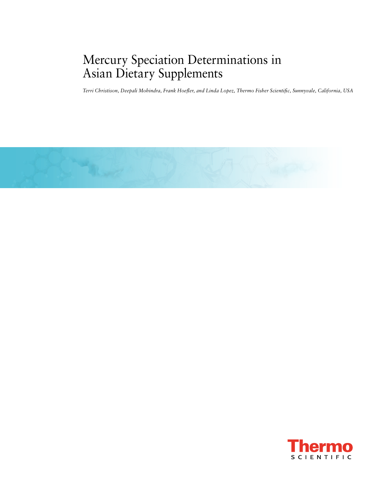# Mercury Speciation Determinations in Asian Dietary Supplements

*Terri Christison, Deepali Mohindra, Frank Hoefler, and Linda Lopez, Thermo Fisher Scientific, Sunnyvale, California, USA*



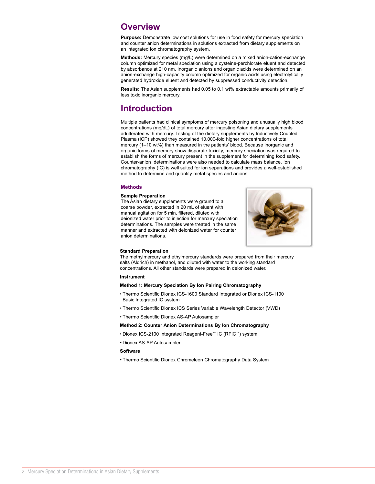# **Overview**

Purpose: Demonstrate low cost solutions for use in food safety for mercury speciation and counter anion determinations in solutions extracted from dietary supplements on an integrated ion chromatography system.

**Methods:** Mercury species (mg/L) were determined on a mixed anion-cation-exchange column optimized for metal speciation using a cysteine-perchlorate eluent and detected by absorbance at 210 nm. Inorganic anions and organic acids were determined on an anion-exchange high-capacity column optimized for organic acids using electrolytically generated hydroxide eluent and detected by suppressed conductivity detection.

**Results:** The Asian supplements had 0.05 to 0.1 wt% extractable amounts primarily of less toxic inorganic mercury.

# **Introduction**

Multiple patients had clinical symptoms of mercury poisoning and unusually high blood concentrations (mg/dL) of total mercury after ingesting Asian dietary supplements adulterated with mercury. Testing of the dietary supplements by Inductively Coupled Plasma (ICP) showed they contained 10,000-fold higher concentrations of total mercury (1–10 wt%) than measured in the patients' blood. Because inorganic and organic forms of mercury show disparate toxicity, mercury speciation was required to establish the forms of mercury present in the supplement for determining food safety. Counter-anion determinations were also needed to calculate mass balance. Ion chromatography (IC) is well suited for ion separations and provides a well-established method to determine and quantify metal species and anions.

### **Methods**

### **Sample Preparation**

The Asian dietary supplements were ground to a coarse powder, extracted in 20 mL of eluent with manual agitation for 5 min, filtered, diluted with deionized water prior to injection for mercury speciation determinations. The samples were treated in the same manner and extracted with deionized water for counter anion determinations.



### **Standard Preparation**

The methylmercury and ethylmercury standards were prepared from their mercury salts (Aldrich) in methanol, and diluted with water to the working standard concentrations. All other standards were prepared in deionized water.

### **Instrument**

### **Method 1: Mercury Speciation By Ion Pairing Chromatography**

- Thermo Scientific Dionex ICS-1600 Standard Integrated or Dionex ICS-1100 Basic Integrated IC system
- Thermo Scientific Dionex ICS Series Variable Wavelength Detector (VWD)
- Thermo Scientific Dionex AS-AP Autosampler

### **Method 2: Counter Anion Determinations By Ion Chromatography**

- Dionex ICS-2100 Integrated Reagent-Free™ IC (RFIC™) system
- Dionex AS-AP Autosampler

### **Software**

• Thermo Scientific Dionex Chromeleon Chromatography Data System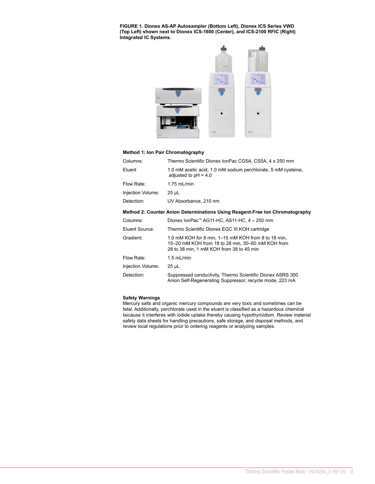**FIGURE 1. Dionex AS-AP Autosampler (Bottom Left), Dionex ICS Series VWD (Top Left) shown next to Dionex ICS-1600 (Center), and ICS-2100 RFIC (Right) Integrated IC Systems.** 



### **Method 1: Ion Pair Chromatography**

| Columns:          | Thermo Scientific Dionex IonPac CG5A, CS5A, 4 x 250 mm                                                                                               |
|-------------------|------------------------------------------------------------------------------------------------------------------------------------------------------|
| Eluent            | 1.0 mM acetic acid, 1.0 mM sodium perchlorate, 5 mM cysteine,<br>adjusted to $pH = 4.0$                                                              |
| Flow Rate:        | $1.75$ mL/min                                                                                                                                        |
| Injection Volume: | 25 µL                                                                                                                                                |
| Detection:        | UV Absorbance, 210 nm                                                                                                                                |
|                   | Method 2: Counter Anion Determinations Using Reagent-Free Ion Chromatography                                                                         |
| Columns:          | Dionex IonPac <sup>™</sup> AG11-HC, AS11-HC, $4 \times 250$ mm                                                                                       |
| Eluent Source:    | Thermo Scientific Dionex EGC III KOH cartridge                                                                                                       |
| Gradient:         | 1.0 mM KOH for 8 min, 1–15 mM KOH from 8 to 18 min,<br>15-20 mM KOH from 18 to 28 min, 30-60 mM KOH from<br>28 to 38 min, 1 mM KOH from 38 to 45 min |
| Flow Rate:        | $1.5$ mL/min                                                                                                                                         |
|                   |                                                                                                                                                      |

Detection: Suppressed conductivity, Thermo Scientific Dionex ASRS 300 Anion Self-Regenerating Suppressor, recycle mode, 223 mA

### **Safety Warnings**

Injection Volume: 25 µL

Mercury salts and organic mercury compounds are very toxic and sometimes can be fatal. Additionally, perchlorate used in the eluent is classified as a hazardous chemical because it interferes with iodide uptake thereby causing hypothyroidism. Review material safety data sheets for handling precautions, safe storage, and disposal methods, and review local regulations prior to ordering reagents or analyzing samples.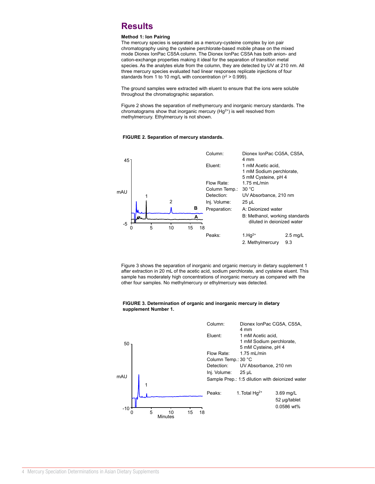# **Results**

### **Method 1: Ion Pairing**

The mercury species is separated as a mercury-cysteine complex by ion pair chromatography using the cysteine perchlorate-based mobile phase on the mixed mode Dionex IonPac CS5A column. The Dionex IonPac CS5A has both anion- and cation-exchange properties making it ideal for the separation of transition metal species. As the analytes elute from the column, they are detected by UV at 210 nm. All three mercury species evaluated had linear responses replicate injections of four standards from 1 to 10 mg/L with concentration ( $r^2 > 0.999$ ).

The ground samples were extracted with eluent to ensure that the ions were soluble throughout the chromatographic separation.

Figure 2 shows the separation of methymercury and inorganic mercury standards. The chromatograms show that inorganic mercury (Hg2+) is well resolved from methylmercury. Ethylmercury is not shown.

### <sup>5</sup> 11.3 0.0708 <sup>243</sup> ND **FIGURE 2. Separation of mercury standards.**



Figure 3 shows the separation of inorganic and organic mercury in dietary supplement 1 after extraction in 20 mL of the acetic acid, sodium perchlorate, and cysteine eluent. This sample has moderately high concentrations of inorganic mercury as compared with the other four samples. No methylmercury or ethylmercury was detected.

#### **FIGURE 3. Determination of organic and inorganic mercury in dietary supplement Number 1.**

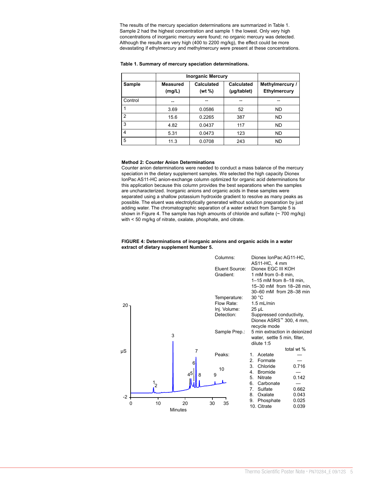The results of the mercury speciation determinations are summarized in Table 1. Sample 2 had the highest concentration and sample 1 the lowest. Only very high concentrations of inorganic mercury were found; no organic mercury was detected. Although the results are very high (400 to 2200 mg/kg), the effect could be more devastating if ethylmercury and methylmercury were present at these concentrations.

#### **Table 1. Summary of mercury speciation determinations.**

|                | <b>Inorganic Mercury</b>  |                                                     |                           |                                                     |
|----------------|---------------------------|-----------------------------------------------------|---------------------------|-----------------------------------------------------|
| Sample         | <b>Measured</b><br>(mg/L) | <b>Calculated</b><br>(wt %)                         | Calculated<br>(µg/tablet) | Methylmercury /<br>Ethylmercury                     |
| Control        | $\overline{\phantom{a}}$  | $\hspace{0.05cm} -\hspace{0.05cm} -\hspace{0.05cm}$ | $\hspace{0.05cm}$         | $\hspace{0.05cm} -\hspace{0.05cm} -\hspace{0.05cm}$ |
|                | 3.69                      | 0.0586                                              | 52                        | <b>ND</b>                                           |
| $\overline{2}$ | 15.6                      | 0.2265                                              | 387                       | <b>ND</b>                                           |
| 3              | 4.82                      | 0.0437                                              | 117                       | <b>ND</b>                                           |
| 4              | 5.31                      | 0.0473                                              | 123                       | <b>ND</b>                                           |
| 5              | 11.3                      | 0.0708                                              | 243                       | <b>ND</b>                                           |

#### **Method 2: Counter Anion Determinations**

Counter anion determinations were needed to conduct a mass balance of the mercury speciation in the dietary supplement samples. We selected the high capacity Dionex IonPac AS11-HC anion-exchange column optimized for organic acid determinations for this application because this column provides the best separations when the samples are uncharacterized. Inorganic anions and organic acids in these samples were separated using a shallow potassium hydroxide gradient to resolve as many peaks as possible. The eluent was electrolytically generated without solution preparation by just adding water. The chromatographic separation of a water extract from Sample 5 is shown in Figure 4. The sample has high amounts of chloride and sulfate  $($   $\sim$  700 mg/kg $)$ with < 50 mg/kg of nitrate, oxalate, phosphate, and citrate.

#### **FIGURE 4: Determinations of inorganic anions and organic acids in a water extract of dietary supplement Number 5.**

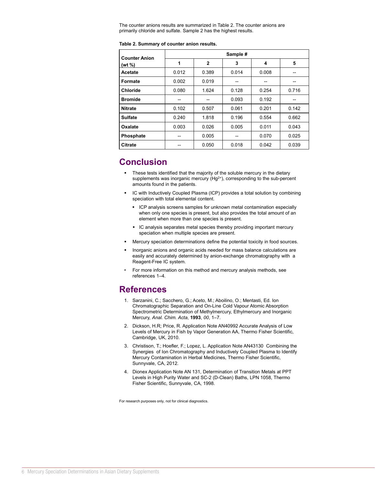The counter anions results are summarized in Table 2. The counter anions are primarily chloride and sulfate. Sample 2 has the highest results.

#### **Table 2. Summary of counter anion results.**

| <b>Counter Anion</b> | Sample # |              |       |       |       |  |  |
|----------------------|----------|--------------|-------|-------|-------|--|--|
| (wt %)               | 1        | $\mathbf{2}$ | 3     | 4     | 5     |  |  |
| <b>Acetate</b>       | 0.012    | 0.389        | 0.014 | 0.008 |       |  |  |
| Formate              | 0.002    | 0.019        | $- -$ | --    | --    |  |  |
| <b>Chloride</b>      | 0.080    | 1.624        | 0.128 | 0.254 | 0.716 |  |  |
| <b>Bromide</b>       | --       | --           | 0.093 | 0.192 |       |  |  |
| <b>Nitrate</b>       | 0.102    | 0.507        | 0.061 | 0.201 | 0.142 |  |  |
| <b>Sulfate</b>       | 0.240    | 1.818        | 0.196 | 0.554 | 0.662 |  |  |
| Oxalate              | 0.003    | 0.026        | 0.005 | 0.011 | 0.043 |  |  |
| Phosphate            | --       | 0.005        |       | 0.070 | 0.025 |  |  |
| <b>Citrate</b>       |          | 0.050        | 0.018 | 0.042 | 0.039 |  |  |

# **Conclusion**

- These tests identified that the majority of the soluble mercury in the dietary supplements was inorganic mercury (Hg<sup>2+</sup>), corresponding to the sub-percent amounts found in the patients.
- IC with Inductively Coupled Plasma (ICP) provides a total solution by combining speciation with total elemental content.
	- **ICP** analysis screens samples for unknown metal contamination especially when only one species is present, but also provides the total amount of an element when more than one species is present.
	- IC analysis separates metal species thereby providing important mercury speciation when multiple species are present.
- Mercury speciation determinations define the potential toxicity in food sources.
- Inorganic anions and organic acids needed for mass balance calculations are easily and accurately determined by anion-exchange chromatography with a Reagent-Free IC system.
- For more information on this method and mercury analysis methods, see references 1–4.

## **References**

- 1. Sarzanini, C.; Sacchero, G.; Aceto, M.; Aboilino, O.; Mentasti, Ed. Ion Chromatographic Separation and On-Line Cold Vapour Atomic Absorption Spectrometric Determination of Methylmercury, Ethylmercury and Inorganic Mercury, *Anal. Chim. Acta*, **1993**, *00*, 1–7.
- 2. Dickson, H.R; Price, R. Application Note AN40992 Accurate Analysis of Low Levels of Mercury in Fish by Vapor Generation AA, Thermo Fisher Scientific, Cambridge, UK, 2010.
- 3. Christison, T.; Hoefler, F.; Lopez, L. Application Note AN43130 Combining the Synergies of Ion Chromatography and Inductively Coupled Plasma to Identify Mercury Contamination in Herbal Medicines, Thermo Fisher Scientific, Sunnyvale, CA, 2012.
- 4. Dionex Application Note AN 131, Determination of Transition Metals at PPT Levels in High Purity Water and SC-2 (D-Clean) Baths, LPN 1058, Thermo Fisher Scientific, Sunnyvale, CA, 1998.

For research purposes only, not for clinical diagnostics.